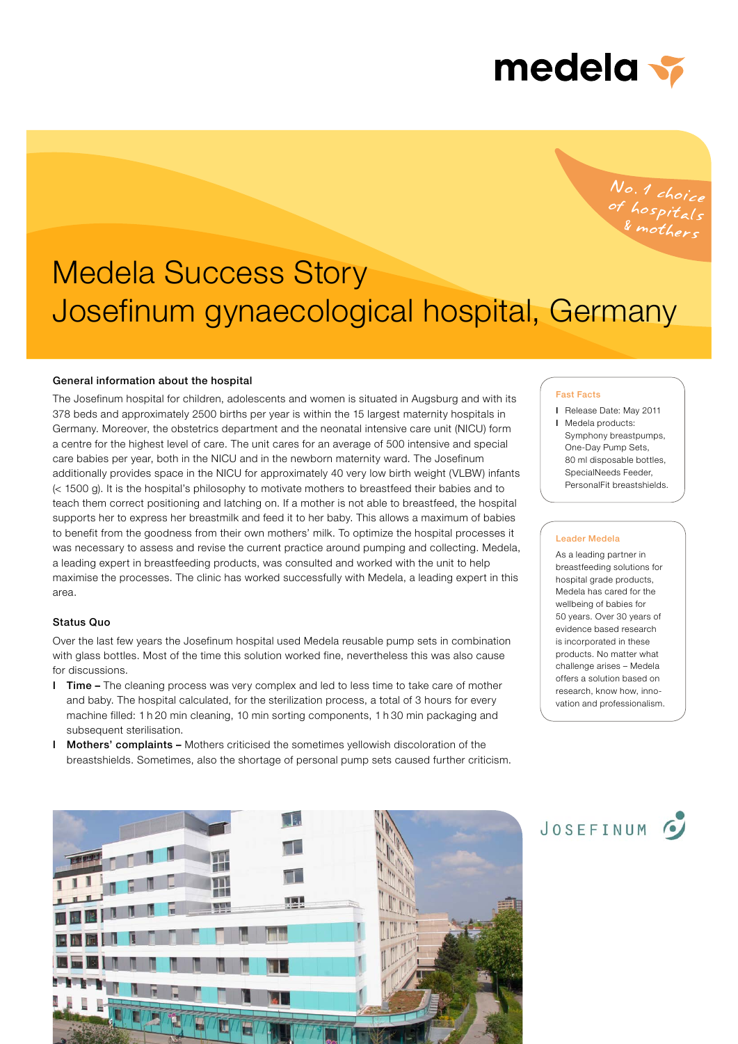

No.1 choice<br>of hospitals<br>& mothers

# Medela Success Story Josefinum gynaecological hospital, Germany

## General information about the hospital

The Josefinum hospital for children, adolescents and women is situated in Augsburg and with its 378 beds and approximately 2500 births per year is within the 15 largest maternity hospitals in Germany. Moreover, the obstetrics department and the neonatal intensive care unit (NICU) form a centre for the highest level of care. The unit cares for an average of 500 intensive and special care babies per year, both in the NICU and in the newborn maternity ward. The Josefinum additionally provides space in the NICU for approximately 40 very low birth weight (VLBW) infants (< 1500 g). It is the hospital's philosophy to motivate mothers to breastfeed their babies and to teach them correct positioning and latching on. If a mother is not able to breastfeed, the hospital supports her to express her breastmilk and feed it to her baby. This allows a maximum of babies to benefit from the goodness from their own mothers' milk. To optimize the hospital processes it was necessary to assess and revise the current practice around pumping and collecting. Medela, a leading expert in breastfeeding products, was consulted and worked with the unit to help maximise the processes. The clinic has worked successfully with Medela, a leading expert in this area.

# Status Quo

Over the last few years the Josefinum hospital used Medela reusable pump sets in combination with glass bottles. Most of the time this solution worked fine, nevertheless this was also cause for discussions.

- I Time The cleaning process was very complex and led to less time to take care of mother and baby. The hospital calculated, for the sterilization process, a total of 3 hours for every machine filled: 1 h 20 min cleaning, 10 min sorting components, 1 h 30 min packaging and subsequent sterilisation.
- **Mothers' complaints –** Mothers criticised the sometimes vellowish discoloration of the breastshields. Sometimes, also the shortage of personal pump sets caused further criticism.

#### Fast Facts

- I Release Date: May 2011
- I Medela products: Symphony breastpumps, One-Day Pump Sets, 80 ml disposable bottles, SpecialNeeds Feeder, PersonalFit breastshields.

## Leader Medela

As a leading partner in breastfeeding solutions for hospital grade products, Medela has cared for the wellbeing of babies for 50 years. Over 30 years of evidence based research is incorporated in these products. No matter what challenge arises – Medela offers a solution based on research, know how, innovation and professionalism.